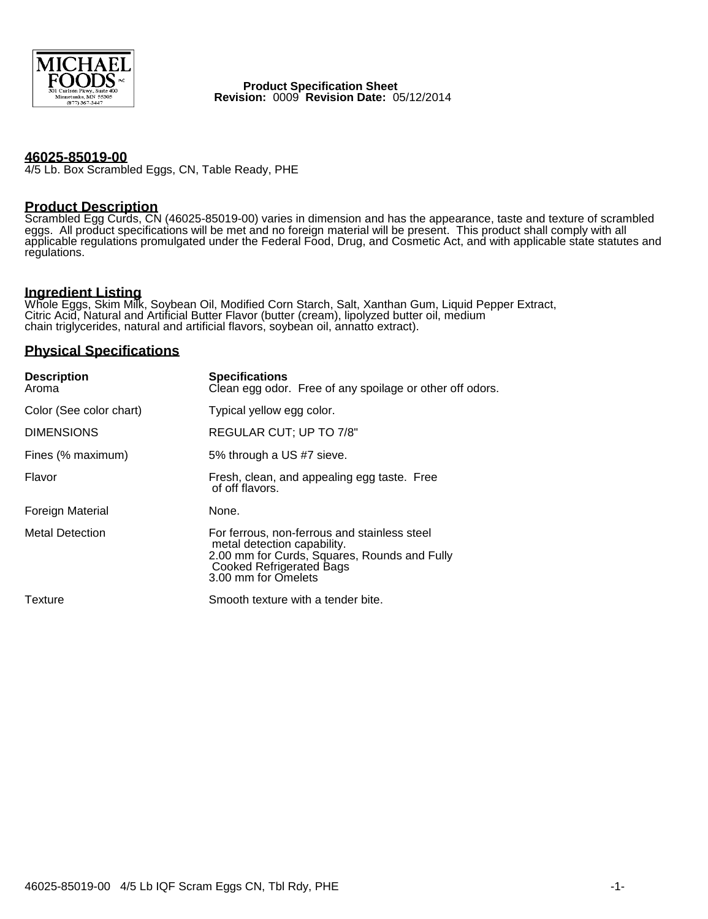

**Product Specification Sheet Revision:** 0009 **Revision Date:** 05/12/2014

## **46025-85019-00**

4/5 Lb. Box Scrambled Eggs, CN, Table Ready, PHE

# **Product Description**

Scrambled Egg Curds, CN (46025-85019-00) varies in dimension and has the appearance, taste and texture of scrambled eggs. All product specifications will be met and no foreign material will be present. This product shall comply with all applicable regulations promulgated under the Federal Food, Drug, and Cosmetic Act, and with applicable state statutes and regulations.

# **Ingredient Listing**

Whole Eggs, Skim Milk, Soybean Oil, Modified Corn Starch, Salt, Xanthan Gum, Liquid Pepper Extract, Citric Acid, Natural and Artificial Butter Flavor (butter (cream), lipolyzed butter oil, medium chain triglycerides, natural and artificial flavors, soybean oil, annatto extract).

## **Physical Specifications**

| <b>Description</b><br>Aroma | <b>Specifications</b><br>Clean egg odor. Free of any spoilage or other off odors.                                                                                                     |
|-----------------------------|---------------------------------------------------------------------------------------------------------------------------------------------------------------------------------------|
| Color (See color chart)     | Typical yellow egg color.                                                                                                                                                             |
| <b>DIMENSIONS</b>           | REGULAR CUT; UP TO 7/8"                                                                                                                                                               |
| Fines (% maximum)           | 5% through a US #7 sieve.                                                                                                                                                             |
| Flavor                      | Fresh, clean, and appealing egg taste. Free<br>of off flavors.                                                                                                                        |
| <b>Foreign Material</b>     | None.                                                                                                                                                                                 |
| <b>Metal Detection</b>      | For ferrous, non-ferrous and stainless steel<br>metal detection capability.<br>2.00 mm for Curds, Squares, Rounds and Fully<br><b>Cooked Refrigerated Bags</b><br>3.00 mm for Omelets |
| Texture                     | Smooth texture with a tender bite.                                                                                                                                                    |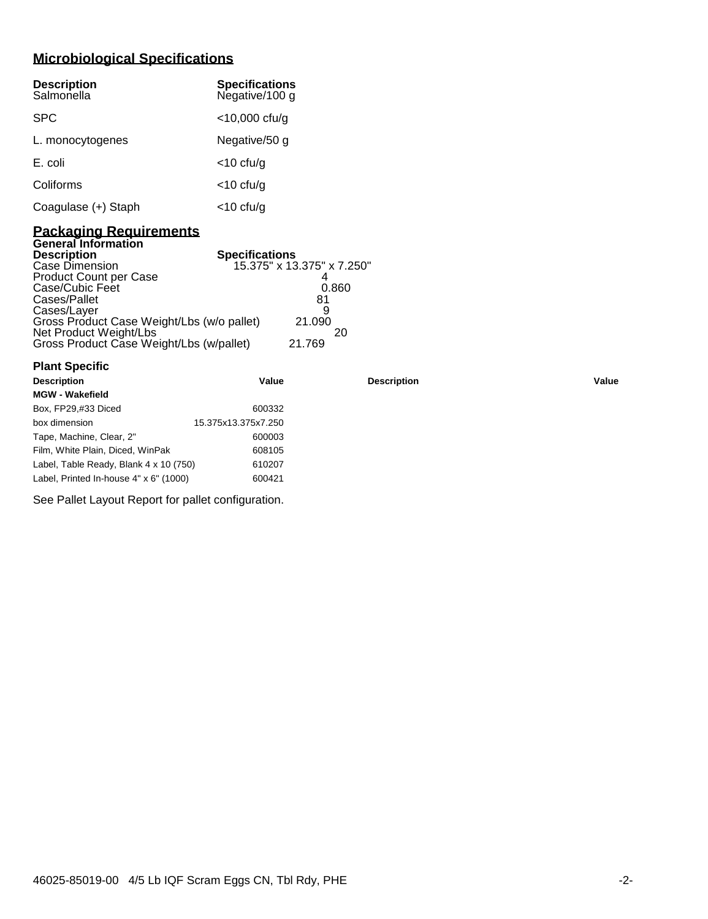# **Microbiological Specifications**

| <b>Description</b><br>Salmonella | <b>Specifications</b><br>Negative/100 g |
|----------------------------------|-----------------------------------------|
| <b>SPC</b>                       | $<$ 10,000 cfu/g                        |
| L. monocytogenes                 | Negative/50 g                           |
| E. coli                          | $<$ 10 cfu/g                            |
| Coliforms                        | $<$ 10 cfu/g                            |
| Coagulase (+) Staph              | <10 cfu/g                               |

## **Packaging Requirements General Information**

**Plant Specific**

| <b>Description</b>                         | <b>Specifications</b>      |
|--------------------------------------------|----------------------------|
| Case Dimension                             | 15.375" x 13.375" x 7.250" |
| <b>Product Count per Case</b>              |                            |
| Case/Cubic Feet                            | 0.860                      |
| Cases/Pallet                               | 81                         |
| Cases/Layer                                | 9                          |
| Gross Product Case Weight/Lbs (w/o pallet) | 21.090                     |
| Net Product Weight/Lbs                     | 20                         |
| Gross Product Case Weight/Lbs (w/pallet)   | 21.769                     |

| <b>Description</b>                     | Value               | <b>Description</b> | Value |
|----------------------------------------|---------------------|--------------------|-------|
| <b>MGW - Wakefield</b>                 |                     |                    |       |
| Box, FP29,#33 Diced                    | 600332              |                    |       |
| box dimension                          | 15.375x13.375x7.250 |                    |       |
| Tape, Machine, Clear, 2"               | 600003              |                    |       |
| Film, White Plain, Diced, WinPak       | 608105              |                    |       |
| Label, Table Ready, Blank 4 x 10 (750) | 610207              |                    |       |
| Label, Printed In-house 4" x 6" (1000) | 600421              |                    |       |
|                                        |                     |                    |       |

See Pallet Layout Report for pallet configuration.